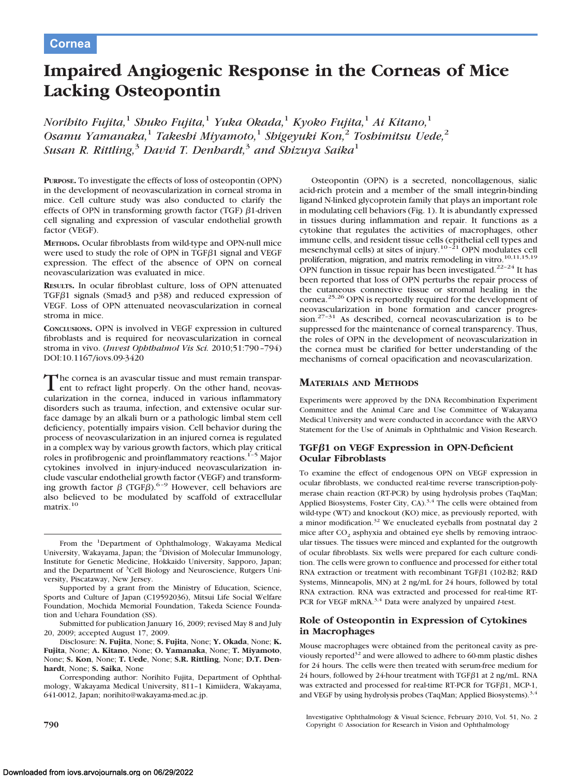# **Impaired Angiogenic Response in the Corneas of Mice Lacking Osteopontin**

*Norihito Fujita,*<sup>1</sup> *Shuko Fujita,*<sup>1</sup> *Yuka Okada,*<sup>1</sup> *Kyoko Fujita,*<sup>1</sup> *Ai Kitano,*<sup>1</sup> *Osamu Yamanaka,*<sup>1</sup> *Takeshi Miyamoto,*<sup>1</sup> *Shigeyuki Kon,*<sup>2</sup> *Toshimitsu Uede,*<sup>2</sup> *Susan R. Rittling,*<sup>3</sup> *David T. Denhardt,*<sup>3</sup> *and Shizuya Saika*<sup>1</sup>

**PURPOSE.** To investigate the effects of loss of osteopontin (OPN) in the development of neovascularization in corneal stroma in mice. Cell culture study was also conducted to clarify the effects of OPN in transforming growth factor (TGF)  $\beta$ 1-driven cell signaling and expression of vascular endothelial growth factor (VEGF).

**METHODS.** Ocular fibroblasts from wild-type and OPN-null mice were used to study the role of OPN in TGF $\beta$ 1 signal and VEGF expression. The effect of the absence of OPN on corneal neovascularization was evaluated in mice.

**RESULTS.** In ocular fibroblast culture, loss of OPN attenuated TGF $\beta$ 1 signals (Smad $\beta$  and p $\beta$ 8) and reduced expression of VEGF. Loss of OPN attenuated neovascularization in corneal stroma in mice.

**CONCLUSIONS.** OPN is involved in VEGF expression in cultured fibroblasts and is required for neovascularization in corneal stroma in vivo. (*Invest Ophthalmol Vis Sci.* 2010;51:790 –794) DOI:10.1167/iovs.09-3420

The cornea is an avascular tissue and must remain transparent to refract light properly. On the other hand, neovascularization in the cornea, induced in various inflammatory disorders such as trauma, infection, and extensive ocular surface damage by an alkali burn or a pathologic limbal stem cell deficiency, potentially impairs vision. Cell behavior during the process of neovascularization in an injured cornea is regulated in a complex way by various growth factors, which play critical roles in profibrogenic and proinflammatory reactions.1–5 Major cytokines involved in injury-induced neovascularization include vascular endothelial growth factor (VEGF) and transforming growth factor  $\beta$  (TGF $\beta$ ).<sup>6-9</sup> However, cell behaviors are also believed to be modulated by scaffold of extracellular matrix.10

From the <sup>1</sup>Department of Ophthalmology, Wakayama Medical University, Wakayama, Japan; the <sup>2</sup>Division of Molecular Immunology, Institute for Genetic Medicine, Hokkaido University, Sapporo, Japan; and the Department of <sup>3</sup>Cell Biology and Neuroscience, Rutgers University, Piscataway, New Jersey.

Supported by a grant from the Ministry of Education, Science, Sports and Culture of Japan (C19592036), Mitsui Life Social Welfare Foundation, Mochida Memorial Foundation, Takeda Science Foundation and Uehara Foundation (SS).

Submitted for publication January 16, 2009; revised May 8 and July 20, 2009; accepted August 17, 2009.

Disclosure: **N. Fujita**, None; **S. Fujita**, None; **Y. Okada**, None; **K. Fujita**, None; **A. Kitano**, None; **O. Yamanaka**, None; **T. Miyamoto**, None; **S. Kon**, None; **T. Uede**, None; **S.R. Rittling**, None; **D.T. Denhardt**, None; **S. Saika**, None

Corresponding author: Norihito Fujita, Department of Ophthalmology, Wakayama Medical University, 811–1 Kimiidera, Wakayama, 641-0012, Japan; norihito@wakayama-med.ac.jp.

Osteopontin (OPN) is a secreted, noncollagenous, sialic acid-rich protein and a member of the small integrin-binding ligand N-linked glycoprotein family that plays an important role in modulating cell behaviors (Fig. 1). It is abundantly expressed in tissues during inflammation and repair. It functions as a cytokine that regulates the activities of macrophages, other immune cells, and resident tissue cells (epithelial cell types and mesenchymal cells) at sites of injury.<sup>10-21</sup> OPN modulates cell proliferation, migration, and matrix remodeling in vitro.<sup>10,11,15,19</sup> OPN function in tissue repair has been investigated.<sup>22-24</sup> It has been reported that loss of OPN perturbs the repair process of the cutaneous connective tissue or stromal healing in the cornea.<sup>25,26</sup> OPN is reportedly required for the development of neovascularization in bone formation and cancer progression.27–31 As described, corneal neovascularization is to be suppressed for the maintenance of corneal transparency. Thus, the roles of OPN in the development of neovascularization in the cornea must be clarified for better understanding of the mechanisms of corneal opacification and neovascularization.

## **MATERIALS AND METHODS**

Experiments were approved by the DNA Recombination Experiment Committee and the Animal Care and Use Committee of Wakayama Medical University and were conducted in accordance with the ARVO Statement for the Use of Animals in Ophthalmic and Vision Research.

## **TGF1 on VEGF Expression in OPN-Deficient Ocular Fibroblasts**

To examine the effect of endogenous OPN on VEGF expression in ocular fibroblasts, we conducted real-time reverse transcription-polymerase chain reaction (RT-PCR) by using hydrolysis probes (TaqMan; Applied Biosystems, Foster City, CA).<sup>3,4</sup> The cells were obtained from wild-type (WT) and knockout (KO) mice, as previously reported, with a minor modification.<sup>32</sup> We enucleated eyeballs from postnatal day 2 mice after  $CO<sub>2</sub>$  asphyxia and obtained eye shells by removing intraocular tissues. The tissues were minced and explanted for the outgrowth of ocular fibroblasts. Six wells were prepared for each culture condition. The cells were grown to confluence and processed for either total RNA extraction or treatment with recombinant TGF $\beta$ 1 (102-B2; R&D Systems, Minneapolis, MN) at 2 ng/mL for 24 hours, followed by total RNA extraction. RNA was extracted and processed for real-time RT-PCR for VEGF mRNA.<sup>3,4</sup> Data were analyzed by unpaired *t*-test.

## **Role of Osteopontin in Expression of Cytokines in Macrophages**

Mouse macrophages were obtained from the peritoneal cavity as previously reported $32$  and were allowed to adhere to 60-mm plastic dishes for 24 hours. The cells were then treated with serum-free medium for 24 hours, followed by 24-hour treatment with TGF $\beta$ 1 at 2 ng/mL. RNA was extracted and processed for real-time RT-PCR for TGF $\beta$ 1, MCP-1, and VEGF by using hydrolysis probes (TaqMan; Applied Biosystems).<sup>3,4</sup>

Investigative Ophthalmology & Visual Science, February 2010, Vol. 51, No. 2 **790** Copyright © Association for Research in Vision and Ophthalmology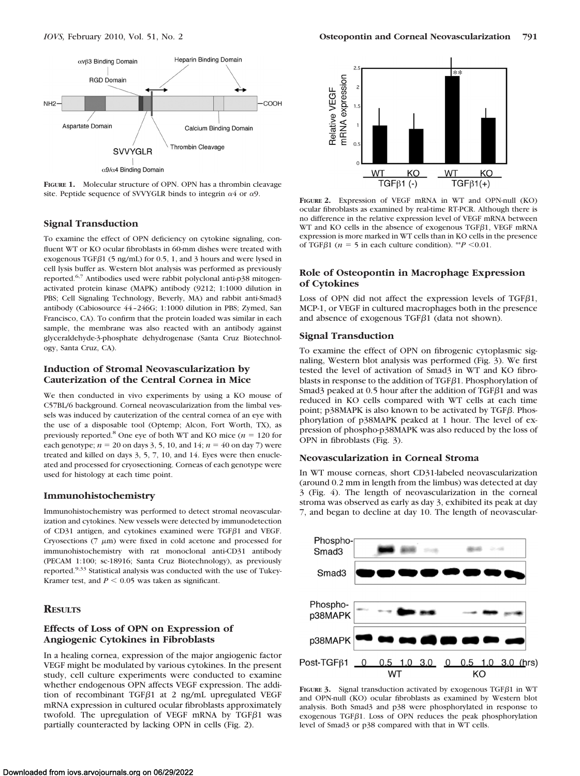

**FIGURE 1.** Molecular structure of OPN. OPN has a thrombin cleavage site. Peptide sequence of SVVYGLR binds to integrin  $\alpha$ 4 or  $\alpha$ 9.

### **Signal Transduction**

To examine the effect of OPN deficiency on cytokine signaling, confluent WT or KO ocular fibroblasts in 60-mm dishes were treated with exogenous TGF $\beta$ 1 (5 ng/mL) for 0.5, 1, and 3 hours and were lysed in cell lysis buffer as. Western blot analysis was performed as previously reported.<sup>6,7</sup> Antibodies used were rabbit polyclonal anti-p38 mitogenactivated protein kinase (MAPK) antibody (9212; 1:1000 dilution in PBS; Cell Signaling Technology, Beverly, MA) and rabbit anti-Smad3 antibody (Cabiosource 44 –246G; 1:1000 dilution in PBS; Zymed, San Francisco, CA). To confirm that the protein loaded was similar in each sample, the membrane was also reacted with an antibody against glyceraldehyde-3-phosphate dehydrogenase (Santa Cruz Biotechnology, Santa Cruz, CA).

### **Induction of Stromal Neovascularization by Cauterization of the Central Cornea in Mice**

We then conducted in vivo experiments by using a KO mouse of C57BL/6 background. Corneal neovascularization from the limbal vessels was induced by cauterization of the central cornea of an eye with the use of a disposable tool (Optemp; Alcon, Fort Worth, TX), as previously reported.<sup>8</sup> One eye of both WT and KO mice ( $n = 120$  for each genotype;  $n = 20$  on days 3, 5, 10, and 14;  $n = 40$  on day 7) were treated and killed on days 3, 5, 7, 10, and 14. Eyes were then enucleated and processed for cryosectioning. Corneas of each genotype were used for histology at each time point.

#### **Immunohistochemistry**

Immunohistochemistry was performed to detect stromal neovascularization and cytokines. New vessels were detected by immunodetection of CD31 antigen, and cytokines examined were TGF $\beta$ 1 and VEGF. Cryosections  $(7 \mu m)$  were fixed in cold acetone and processed for immunohistochemistry with rat monoclonal anti-CD31 antibody (PECAM 1:100; sc-18916; Santa Cruz Biotechnology), as previously reported.9,33 Statistical analysis was conducted with the use of Tukey-Kramer test, and  $P \le 0.05$  was taken as significant.

### **RESULTS**

## **Effects of Loss of OPN on Expression of Angiogenic Cytokines in Fibroblasts**

In a healing cornea, expression of the major angiogenic factor VEGF might be modulated by various cytokines. In the present study, cell culture experiments were conducted to examine whether endogenous OPN affects VEGF expression. The addition of recombinant TGF $\beta$ 1 at 2 ng/mL upregulated VEGF mRNA expression in cultured ocular fibroblasts approximately twofold. The upregulation of VEGF mRNA by TGF $\beta$ 1 was partially counteracted by lacking OPN in cells (Fig. 2).



**FIGURE 2.** Expression of VEGF mRNA in WT and OPN-null (KO) ocular fibroblasts as examined by real-time RT-PCR. Although there is no difference in the relative expression level of VEGF mRNA between WT and KO cells in the absence of exogenous TGF $\beta$ 1, VEGF mRNA expression is more marked in WT cells than in KO cells in the presence of TGF $\beta$ 1 (*n* = 5 in each culture condition). \*\**P* < 0.01.

## **Role of Osteopontin in Macrophage Expression of Cytokines**

Loss of OPN did not affect the expression levels of TGF $\beta$ 1, MCP-1, or VEGF in cultured macrophages both in the presence and absence of exogenous TGF $\beta$ 1 (data not shown).

#### **Signal Transduction**

To examine the effect of OPN on fibrogenic cytoplasmic signaling, Western blot analysis was performed (Fig. 3). We first tested the level of activation of Smad3 in WT and KO fibroblasts in response to the addition of  $TGF\beta1$ . Phosphorylation of Smad<sub>3</sub> peaked at 0.5 hour after the addition of TGF $\beta$ 1 and was reduced in KO cells compared with WT cells at each time point;  $p38MAPK$  is also known to be activated by TGF $\beta$ . Phosphorylation of p38MAPK peaked at 1 hour. The level of expression of phospho-p38MAPK was also reduced by the loss of OPN in fibroblasts (Fig. 3).

## **Neovascularization in Corneal Stroma**

In WT mouse corneas, short CD31-labeled neovascularization (around 0.2 mm in length from the limbus) was detected at day 3 (Fig. 4). The length of neovascularization in the corneal stroma was observed as early as day 3, exhibited its peak at day 7, and began to decline at day 10. The length of neovascular-



FIGURE  $3.$  Signal transduction activated by exogenous TGF $\beta$ 1 in WT and OPN-null (KO) ocular fibroblasts as examined by Western blot analysis. Both Smad3 and p38 were phosphorylated in response to exogenous TGF $\beta$ 1. Loss of OPN reduces the peak phosphorylation level of Smad3 or p38 compared with that in WT cells.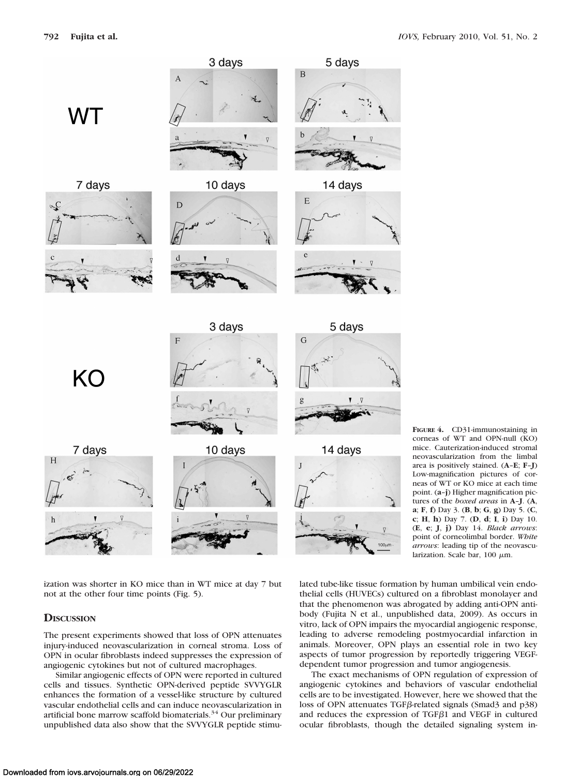

**FIGURE 4.** CD31-immunostaining in corneas of WT and OPN-null (KO) mice. Cauterization-induced stromal neovascularization from the limbal area is positively stained. (**A**–**E**; **F**–**J**) Low-magnification pictures of corneas of WT or KO mice at each time point. (**a**–**j**) Higher magnification pictures of the *boxed areas* in **A**–**J**. (**A**, **a**; **F**, **f**) Day 3. (**B**, **b**; **G**, **g**) Day 5. (**C**, **c**; **H**, **h**) Day 7. (**D**, **d**; **I**, **i**) Day 10. (**E**, **e**; **J**, **j)** Day 14. *Black arrows*: point of corneolimbal border. *White arrows*: leading tip of the neovascularization. Scale bar,  $100 \mu m$ .

ization was shorter in KO mice than in WT mice at day 7 but not at the other four time points (Fig. 5).

## **DISCUSSION**

The present experiments showed that loss of OPN attenuates injury-induced neovascularization in corneal stroma. Loss of OPN in ocular fibroblasts indeed suppresses the expression of angiogenic cytokines but not of cultured macrophages.

Similar angiogenic effects of OPN were reported in cultured cells and tissues. Synthetic OPN-derived peptide SVVYGLR enhances the formation of a vessel-like structure by cultured vascular endothelial cells and can induce neovascularization in artificial bone marrow scaffold biomaterials.<sup>34</sup> Our preliminary unpublished data also show that the SVVYGLR peptide stimulated tube-like tissue formation by human umbilical vein endothelial cells (HUVECs) cultured on a fibroblast monolayer and that the phenomenon was abrogated by adding anti-OPN antibody (Fujita N et al., unpublished data, 2009). As occurs in vitro, lack of OPN impairs the myocardial angiogenic response, leading to adverse remodeling postmyocardial infarction in animals. Moreover, OPN plays an essential role in two key aspects of tumor progression by reportedly triggering VEGFdependent tumor progression and tumor angiogenesis.

The exact mechanisms of OPN regulation of expression of angiogenic cytokines and behaviors of vascular endothelial cells are to be investigated. However, here we showed that the loss of OPN attenuates TGF $\beta$ -related signals (Smad3 and p38) and reduces the expression of TGF $\beta$ 1 and VEGF in cultured ocular fibroblasts, though the detailed signaling system in-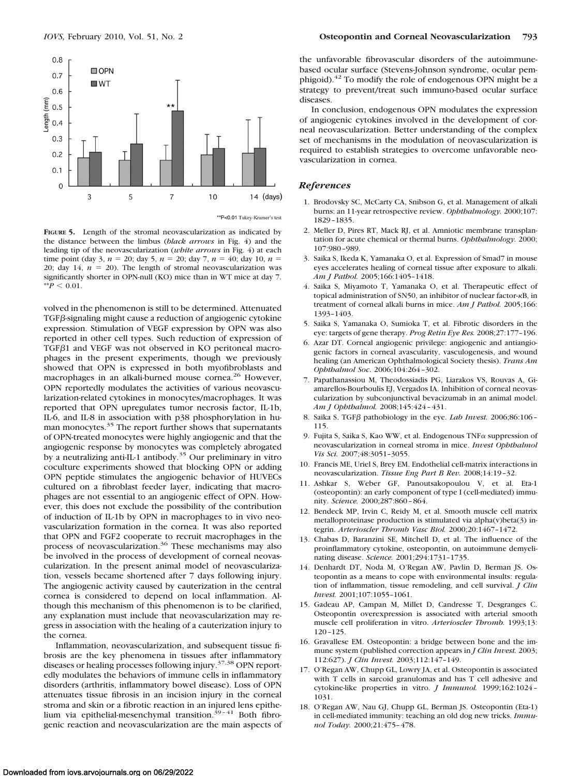

**FIGURE 5.** Length of the stromal neovascularization as indicated by the distance between the limbus (*black arrows* in Fig. 4) and the leading tip of the neovascularization (*white arrows* in Fig. 4) at each time point (day 3,  $n = 20$ ; day 5,  $n = 20$ ; day 7,  $n = 40$ ; day 10,  $n =$ 20; day 14,  $n = 20$ ). The length of stromal neovascularization was significantly shorter in OPN-null (KO) mice than in WT mice at day 7.  $*$ <sup>\*</sup>*P*  $\leq$  0.01.

volved in the phenomenon is still to be determined. Attenuated  $TGF\beta$ -signaling might cause a reduction of angiogenic cytokine expression. Stimulation of VEGF expression by OPN was also reported in other cell types. Such reduction of expression of TGF $\beta$ 1 and VEGF was not observed in KO peritoneal macrophages in the present experiments, though we previously showed that OPN is expressed in both myofibroblasts and macrophages in an alkali-burned mouse cornea.26 However, OPN reportedly modulates the activities of various neovascularization-related cytokines in monocytes/macrophages. It was reported that OPN upregulates tumor necrosis factor, IL-1b, IL-6, and IL-8 in association with p38 phosphorylation in human monocytes.<sup>35</sup> The report further shows that supernatants of OPN-treated monocytes were highly angiogenic and that the angiogenic response by monocytes was completely abrogated by a neutralizing anti-IL-1 antibody.<sup>35</sup> Our preliminary in vitro coculture experiments showed that blocking OPN or adding OPN peptide stimulates the angiogenic behavior of HUVECs cultured on a fibroblast feeder layer, indicating that macrophages are not essential to an angiogenic effect of OPN. However, this does not exclude the possibility of the contribution of induction of IL-1b by OPN in macrophages to in vivo neovascularization formation in the cornea. It was also reported that OPN and FGF2 cooperate to recruit macrophages in the process of neovascularization.36 These mechanisms may also be involved in the process of development of corneal neovascularization. In the present animal model of neovascularization, vessels became shortened after 7 days following injury. The angiogenic activity caused by cauterization in the central cornea is considered to depend on local inflammation. Although this mechanism of this phenomenon is to be clarified, any explanation must include that neovascularization may regress in association with the healing of a cauterization injury to the cornea.

Inflammation, neovascularization, and subsequent tissue fibrosis are the key phenomena in tissues after inflammatory diseases or healing processes following injury.37,38 OPN reportedly modulates the behaviors of immune cells in inflammatory disorders (arthritis, inflammatory bowel disease). Loss of OPN attenuates tissue fibrosis in an incision injury in the corneal stroma and skin or a fibrotic reaction in an injured lens epithelium via epithelial-mesenchymal transition.<sup>39-41</sup> Both fibrogenic reaction and neovascularization are the main aspects of

the unfavorable fibrovascular disorders of the autoimmunebased ocular surface (Stevens-Johnson syndrome, ocular pemphigoid).<sup>42</sup> To modify the role of endogenous OPN might be a strategy to prevent/treat such immuno-based ocular surface diseases.

In conclusion, endogenous OPN modulates the expression of angiogenic cytokines involved in the development of corneal neovascularization. Better understanding of the complex set of mechanisms in the modulation of neovascularization is required to establish strategies to overcome unfavorable neovascularization in cornea.

#### *References*

- 1. Brodovsky SC, McCarty CA, Snibson G, et al. Management of alkali burns: an 11-year retrospective review. *Ophthalmology.* 2000;107: 1829 –1835.
- 2. Meller D, Pires RT, Mack RJ, et al. Amniotic membrane transplantation for acute chemical or thermal burns. *Ophthalmology.* 2000; 107:980 –989.
- 3. Saika S, Ikeda K, Yamanaka O, et al. Expression of Smad7 in mouse eyes accelerates healing of corneal tissue after exposure to alkali. *Am J Pathol.* 2005;166:1405–1418.
- 4. Saika S, Miyamoto T, Yamanaka O, et al. Therapeutic effect of topical administration of SN50, an inhibitor of nuclear factor- $\kappa$ B, in treatment of corneal alkali burns in mice. *Am J Pathol.* 2005;166: 1393–1403.
- 5. Saika S, Yamanaka O, Sumioka T, et al. Fibrotic disorders in the eye: targets of gene therapy. *Prog Retin Eye Res.* 2008;27:177–196.
- 6. Azar DT. Corneal angiogenic privilege: angiogenic and antiangiogenic factors in corneal avascularity, vasculogenesis, and wound healing (an American Ophthalmological Society thesis). *Trans Am Ophthalmol Soc*. 2006;104:264 –302.
- 7. Papathanassiou M, Theodossiadis PG, Liarakos VS, Rouvas A, Giamarellos-Bourboulis EJ, Vergados IA. Inhibition of corneal neovascularization by subconjunctival bevacizumab in an animal model. *Am J Ophthalmol.* 2008;145:424 – 431.
- 8. Saika S. TGF<sub>B</sub> pathobiology in the eye. *Lab Invest.* 2006;86:106 -115.
- 9. Fujita S, Saika S, Kao WW, et al. Endogenous  $TNF\alpha$  suppression of neovascularization in corneal stroma in mice. *Invest Ophthalmol Vis Sci.* 2007;48:3051–3055.
- 10. Francis ME, Uriel S, Brey EM. Endothelial cell-matrix interactions in neovascularization. *Tissue Eng Part B Rev.* 2008;14:19 –32.
- 11. Ashkar S, Weber GF, Panoutsakopoulou V, et al. Eta-1 (osteopontin): an early component of type I (cell-mediated) immunity. *Science.* 2000;287:860 – 864.
- 12. Bendeck MP, Irvin C, Reidy M, et al. Smooth muscle cell matrix metalloproteinase production is stimulated via alpha(v)beta(3) integrin. *Arterioscler Thromb Vasc Biol.* 2000;20:1467–1472.
- 13. Chabas D, Baranzini SE, Mitchell D, et al. The influence of the proinflammatory cytokine, osteopontin, on autoimmune demyelinating disease. *Science.* 2001;294:1731–1735.
- 14. Denhardt DT, Noda M, O'Regan AW, Pavlin D, Berman JS. Osteopontin as a means to cope with environmental insults: regulation of inflammation, tissue remodeling, and cell survival. *J Clin Invest.* 2001;107:1055–1061.
- 15. Gadeau AP, Campan M, Millet D, Candresse T, Desgranges C. Osteopontin overexpression is associated with arterial smooth muscle cell proliferation in vitro. *Arterioscler Thromb.* 1993;13: 120 –125.
- 16. Gravallese EM. Osteopontin: a bridge between bone and the immune system (published correction appears in *J Clin Invest.* 2003; 112:627). *J Clin Invest.* 2003;112:147–149.
- 17. O'Regan AW, Chupp GL, Lowry JA, et al. Osteopontin is associated with T cells in sarcoid granulomas and has T cell adhesive and cytokine-like properties in vitro. *J Immunol.* 1999;162:1024 – 1031.
- 18. O'Regan AW, Nau GJ, Chupp GL, Berman JS. Osteopontin (Eta-1) in cell-mediated immunity: teaching an old dog new tricks. *Immunol Today.* 2000;21:475– 478.